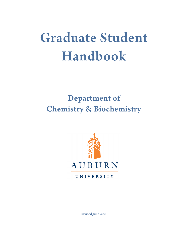# Graduate Student Handbook

# Department of Chemistry & Biochemistry



UNIVERSITY

Revised June 2020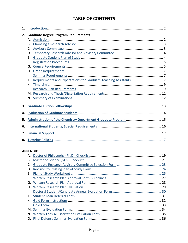### **TABLE OF CONTENTS**

| 1. |                                             |    |  |  |  |  |
|----|---------------------------------------------|----|--|--|--|--|
| 2. | <b>Graduate Degree Program Requirements</b> |    |  |  |  |  |
|    |                                             |    |  |  |  |  |
|    | В.                                          |    |  |  |  |  |
|    | C.                                          |    |  |  |  |  |
|    | D.                                          |    |  |  |  |  |
|    | Ε.                                          |    |  |  |  |  |
|    | F.                                          |    |  |  |  |  |
|    | G.                                          |    |  |  |  |  |
|    | Η.                                          |    |  |  |  |  |
|    | I.                                          |    |  |  |  |  |
|    | J.                                          |    |  |  |  |  |
|    | K.                                          |    |  |  |  |  |
|    | L.                                          |    |  |  |  |  |
|    |                                             |    |  |  |  |  |
|    | N.                                          | 12 |  |  |  |  |
|    |                                             |    |  |  |  |  |
| 3. |                                             |    |  |  |  |  |
| 4. |                                             |    |  |  |  |  |
| 5. |                                             |    |  |  |  |  |
| 6. |                                             |    |  |  |  |  |
| 7. |                                             |    |  |  |  |  |
|    |                                             |    |  |  |  |  |

### **APPENDIX**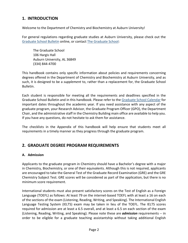### <span id="page-2-0"></span>**1. INTRODUCTION**

Welcome to the Department of Chemistry and Biochemistry at Auburn University!

For general regulations regarding graduate studies at Auburn University, please check out the [Graduate School Bulletin](http://bulletin.auburn.edu/thegraduateschool/) online, or contact [The Graduate School:](http://graduate.auburn.edu/)

The Graduate School 106 Hargis Hall Auburn University, AL 36849 (334) 844-4700

This handbook contains only specific information about policies and requirements concerning degrees offered in the Department of Chemistry and Biochemistry at Auburn University, and as such, it is designed to be a *supplement* to, rather than a replacement for, the Graduate School Bulletin.

Each student is responsible for meeting all the requirements and deadlines specified in the Graduate School Bulletin and in this handbook. Please refer to the [Graduate School Calendar](http://graduate.auburn.edu/current-students/graduate-school-calendar/) for important dates throughout the academic year. If you need assistance with any aspect of the graduate program, your Research Advisor, the Graduate Program Officer (GPO), the Department Chair, and the administrative staff in the Chemistry Building main office are available to help you. If you have any questions, do not hesitate to ask them for assistance.

The checklists in the Appendix of this handbook will help ensure that students meet all requirements in a timely manner as they progress through the graduate program.

### **2. GRADUATE DEGREE PROGRAM REQUIREMENTS**

### <span id="page-2-1"></span>**A. Admission**

Applicants to the graduate program in Chemistry should have a Bachelor's degree with a major in Chemistry, Biochemistry, or one of their equivalents. Although this is not required, applicants are encouraged to take the General Test of the Graduate Record Examination (GRE) and the GRE Chemistry Subject Test. GRE scores will be considered as part of the application, but there is no minimum score requirement.

International students must also present satisfactory scores on the Test of English as a Foreign Language (TOEFL) as follows: At least 79 on the internet-based TOEFL with at least a 16 on each of the sections of the exam (Listening, Reading, Writing, and Speaking). The International English Language Testing System (IELTS) exam may be taken in lieu of the TOEFL. The IELTS scores required for admission are at least a 6.5 overall, and at least a 6.5 on each section of the exam (Listening, Reading, Writing, and Speaking). Please note these are *admission* requirements -- in order to be eligible for a graduate teaching assistantship without taking additional English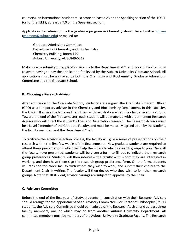course(s), an international student must score at least a 23 on the Speaking section of the TOEFL (or for the IELTS, at least a 7.0 on the Speaking section).

Applications for admission to the graduate program in Chemistry should be submitted [online](http://www.auburn.edu/academic/cosam/departments/chemistry/academics/graduate/Application-Procedure.htm) [\(chgrcom@auburn.edu\)](mailto:chgrcom@auburn.edu) or mailed to:

Graduate Admissions Committee Department of Chemistry and Biochemistry Chemistry Building, Room 179 Auburn University, AL 36849-5312

Make sure to submit your application *directly* to the Department of Chemistry and Biochemistry to avoid having to pay the application fee levied by the Auburn University Graduate School. All applications must be approved by both the Chemistry and Biochemistry Graduate Admissions Committee and the Graduate School.

### <span id="page-3-0"></span>**B. Choosing a Research Advisor**

After admission to the Graduate School, students are assigned the Graduate Program Officer (GPO) as a temporary advisor in the Chemistry and Biochemistry Department. In this capacity, the GPO will advise students and help them with registration when they first arrive on campus. Toward the end of the first semester, each student will be matched with a permanent Research Advisor who will direct the student's Thesis or Dissertation research. The Research Advisor must be a Level 2 member of the Graduate Faculty, and must be mutually agreed upon by the student, the faculty member, and the Department Chair.

To facilitate the advisor selection process, the faculty will give a series of presentations on their research within the first few weeks of the first semester. New graduate students are required to attend these presentations, which will help them decide which research groups to join. Once all the faculty have presented, students will be given a form to fill out to indicate their research group preferences. Students will then interview the faculty with whom they are interested in working, and then have them sign the research group preference form. On the form, students will rank the top three faculty with whom they wish to work, and submit their choices to the Department Chair in writing. The faculty will then decide who they wish to join their research groups. Note that all student/advisor pairings are subject to approval by the Chair.

### <span id="page-3-1"></span>**C. Advisory Committee**

Before the end of the first year of study, students, in consultation with their Research Advisor, should arrange for the appointment of an Advisory Committee. For Doctor of Philosophy (Ph.D.) students, the Advisory Committee should be made up of the Research Advisor and at least three faculty members, one of which may be from another Auburn University Department. All committee members must be members of the Auburn University Graduate Faculty. The Research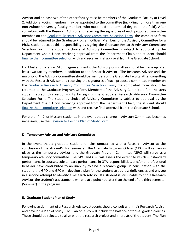Advisor and at least two of the other faculty must be members of the Graduate Faculty at Level 2. Additional voting members may be appointed to the committee (including no more than one non-Auburn University faculty member, who must hold the terminal degree in the field). After consulting with the Research Advisor and receiving the signatures of each proposed committee member on the [Graduate Research Advisory Committee Selection Form,](#page-23-0) the completed form should be returned to the Graduate Program Officer. Members of the Advisory Committee for a Ph.D. student accept this responsibility by signing the Graduate Research Advisory Committee Selection Form. The student's choice of Advisory Committee is subject to approval by the Department Chair. Upon receiving approval from the Department Chair, the student should finalize their [committee selection](https://web.auburn.edu/alpha/forms/committeeselection.aspx) with and receive final approval from the Graduate School.

For Master of Science (M.S.) degree students, the Advisory Committee should be made up of at least two faculty members in addition to the Research Advisor. The Research Advisor and the majority of the Advisory Committee should be members of the Graduate Faculty. After consulting with the Research Advisor and receiving the signatures of each proposed committee member on the [Graduate Research Advisory Committee Selection Form,](#page-23-0) the completed form should be returned to the Graduate Program Officer. Members of the Advisory Committee for a Masters student accept this responsibility by signing the Graduate Research Advisory Committee Selection Form. The student's choice of Advisory Committee is subject to approval by the Department Chair. Upon receiving approval from the Department Chair, the student should [finalize their committee selection](https://web.auburn.edu/alpha/forms/committeeselection.aspx) with and receive final approval from the Graduate School.

For either Ph.D. or Masters students, in the event that a change in Advisory Committee becomes necessary, use the [Revision to Existing Plan of Study Form.](http://graduate.auburn.edu/wp-content/uploads/files/forms/revision_existing_plan_%20of_study.pdf)

### <span id="page-4-0"></span>**D. Temporary Advisor and Advisory Committee**

In the event that a graduate student remains unmatched with a Research Advisor at the conclusion of the student's first semester, the Graduate Program Officer (GPO) will remain in place as the temporary advisor, and the Graduate Program Committee (GPC) will serve as a temporary advisory committee. The GPO and GPC will assess the extent to which substandard performance in courses, substandard performance in GTA responsibilities, and/or unprofessional behavior have contributed to an inability to find a research group. In consultation with the student, the GPO and GPC will develop a plan for the student to address deficiencies and engage in a second attempt to identify a Research Advisor. If a student is still unable to find a Research Advisor, the student's assistantship will end at a point not later than the end of the third semester (Summer) in the program.

### <span id="page-4-1"></span>**E. Graduate Student Plan of Study**

Following assignment of a Research Advisor, students should consult with their Research Advisor and develop a Plan of Study. The Plan of Study will include the balance of formal graded courses. These should be selected to align with the research project and interests of the student. The Plan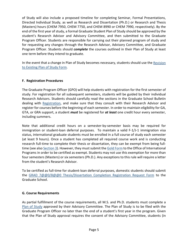of Study will also include a proposed timeline for completing Seminar, Formal Presentations, Directed Individual Study, as well as Research and Dissertation (Ph.D.) or Research and Thesis (Masters) hours (CHEM 7950, CHEM 7750, and CHEM 8990 or CHEM 7990, respectively). By the end of the first year of study, a formal Graduate Student Plan of Study should be approved by the student's Research Advisor and Advisory Committee, and then submitted to the Graduate Program Officer. Students are responsible for carrying out their planned program of study and for requesting any changes through the Research Advisor, Advisory Committee, and Graduate Program Officer. Students should *complete* the courses outlined in their Plan of Study at least one term before they intend to graduate.

In the event that a change in Plan of Study becomes necessary, students should use the [Revision](http://graduate.auburn.edu/wp-content/uploads/files/forms/revision_existing_plan_%20of_study.pdf)  [to Existing Plan of Study Form.](http://graduate.auburn.edu/wp-content/uploads/files/forms/revision_existing_plan_%20of_study.pdf)

### <span id="page-5-0"></span>**F. Registration Procedures**

The Graduate Program Officer (GPO) will help students with registration for the first semester of study. For registration for all subsequent semesters, students will be guided by their individual Research Advisors. Students should carefully read the sections in the Graduate School Bulletin dealing with [Registration,](http://bulletin.auburn.edu/thegraduateschool/registration/) and make sure that they consult with their Research Advisor and register for courses before the beginning of each semester. In order to maintain eligibility for GA, GTA, or GRA support, a student *must* be registered for *at least* one credit hour every semester, including summers.

Note that additional credit hours on a semester-by-semester basis may be required for immigration or student-loan deferral purposes. To maintain a valid F-1/J-1 immigration visa status, international graduate students must be enrolled in a full course of study each semester (at least 9 hours). Once a student has completed all required course work and is conducting research full-time to complete their thesis or dissertation, they can be exempt from being full-time (see also [Section 3\)](#page-14-1). However, they must submit th[e Gold Form](#page-33-0) to the Office of International Programs in order to be certified as exempt. Students may not use this exemption for more than four semesters (Masters) or six semesters (Ph.D.). Any exceptions to this rule will require a letter from the student's Research Advisor.

To be certified as full-time for student-loan deferral purposes, domestic students should submit the [GRAD 7@@0/8@@0 Thesis/Dissertation Completion Registration Request Form](#page-31-0) to the Graduate School.

### <span id="page-5-1"></span>**G. Course Requirements**

As partial fulfillment of the course requirements, all M.S. and Ph.D. students must complete a [Plan of Study](#page-4-1) approved by their Advisory Committee. The Plan of Study is to be filed with the Graduate Program Officer no later than the end of a student's first year in the program. Given that the Plan of Study approval requires the consent of the Advisory Committee, students (in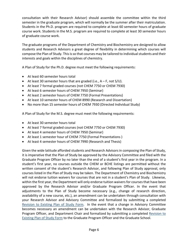consultation with their Research Advisor) should assemble the committee within the third semester in the graduate program, which will normally be the summer after their matriculation. Students in the Ph.D. program are required to complete at least 60 semester hours of graduate course work. Students in the M.S. program are required to complete at least 30 semester hours of graduate course work.

The graduate programs of the Department of Chemistry and Biochemistry are designed to allow students and Research Advisors a great degree of flexibility in determining which courses will compose the Plan of Study. This is so that courses may be tailored to individual students and their interests and goals within the disciplines of chemistry.

A Plan of Study for the Ph.D. degree must meet the following requirements:

- At least 60 semester hours total
- At least 30 semester hours that are graded (i.e.,  $A F$ , not  $S/U$ ).
- At least 7 formal graded courses (not CHEM 7750 or CHEM 7930)
- At least 6 semester hours of CHEM 7950 (Seminar)
- At least 2 semester hours of CHEM 7750 (Formal Presentations)
- At least 10 semester hours of CHEM 8990 (Research and Dissertation)
- No more than 15 semester hours of CHEM 7930 (Directed Individual Study)

A Plan of Study for the M.S. degree must meet the following requirements:

- At least 30 semester hours total
- At least 7 formal graded courses (not CHEM 7750 or CHEM 7930)
- At least 4 semester hours of CHEM 7950 (Seminar)
- At least 1 semester hour of CHEM 7750 (Formal Presentations )
- At least 4 semester hours of CHEM 7990 (Research and Thesis)

Given the wide latitude afforded students and Research Advisors in composing the Plan of Study, it is imperative that the Plan of Study be approved by the Advisory Committee and filed with the Graduate Program Officer by no later than the end of a student's first year in the program. In a student's first year, no courses outside the CHEM or BCHE listings are permitted without the written consent of the student's Research Advisor, and following Plan of Study approval, only courses listed in the Plan of Study may be taken. The Department of Chemistry and Biochemistry will not endorse tuition waivers for courses that are not in a student's Plan of Study. Likewise, within the first year, the Department will only endorse tuition waivers for courses that have been approved by the Research Advisor and/or Graduate Program Officer. In the event that adjustments to the Plan of Study become necessary (e.g., change of research direction, availability of a new course, etc.), an amendment can be undertaken through consultation with your Research Advisor and Advisory Committee and formalized by submitting a completed [Revision to Existing Plan of Study Form.](http://graduate.auburn.edu/wp-content/uploads/files/forms/revision_existing_plan_%20of_study.pdf) In the event that a change in Advisory Committee becomes necessary an amendment can be undertaken with the Research Advisor, Graduate Program Officer, and Department Chair and formalized by submitting a completed [Revision to](http://graduate.auburn.edu/wp-content/uploads/files/forms/revision_existing_plan_%20of_study.pdf)  [Existing Plan of Study Form](http://graduate.auburn.edu/wp-content/uploads/files/forms/revision_existing_plan_%20of_study.pdf) to the Graduate Program Officer and the Graduate School.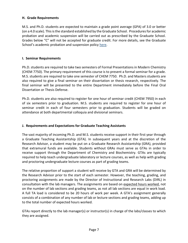### <span id="page-7-0"></span>**H. Grade Requirements**

M.S. and Ph.D. students are expected to maintain a grade point average (GPA) of 3.0 or better (on a 4.0 scale). This is the standard established by the Graduate School. Procedures for academic probation and academic suspension will be carried out as prescribed by the Graduate School. Grades below "C" will not be accepted for graduate credit. For more details, see the Graduate School's academic probation and suspension policy [here.](http://bulletin.auburn.edu/thegraduateschool/academicprogress/)

### <span id="page-7-3"></span><span id="page-7-1"></span>**I. Seminar Requirements**

Ph.D. students are required to take two semesters of Formal Presentations in Modern Chemistry (CHEM 7750). The primary requirement of this course is to present a formal seminar for a grade. M.S. students are required to take one semester of CHEM 7750. Ph.D. and Masters students are also required to give a final seminar on their dissertation or thesis research, respectively. The final seminar will be presented to the entire Department immediately before the Final Oral Dissertation or Thesis Defense.

Ph.D. students are also required to register for one hour of seminar credit (CHEM 7950) in each of six semesters prior to graduation. M.S. students are required to register for one hour of seminar credit in each of four semesters prior to graduation. Students will be graded on attendance at both departmental colloquia and divisional seminars.

### <span id="page-7-2"></span>**J. Requirements and Expectations for Graduate Teaching Assistants**

The vast majority of incoming Ph.D. and M.S. students receive support in their first year through a Graduate Teaching Assistantship (GTA). In subsequent years and at the discretion of the Research Advisor, a student may be put on a Graduate Research Assistantship (GRA), provided that extramural funds are available. Students without GRAs must serve as GTAs in order to receive support through the Department of Chemistry and Biochemistry. GTAs are typically required to help teach undergraduate laboratory or lecture courses, as well as help with grading and proctoring undergraduate lecture courses as part of grading teams.

The relative proportion of support a student will receive by GTA and GRA will be determined by the Research Advisor prior to the start of each semester. However, the teaching, grading, and proctoring assignments are made by the Director of Instructional and Research Labs (DIRL) in consultation with the lab managers. The assignments are based on expected hours worked, not on the number of lab sections and grading teams, as not all lab sections are equal in work load. A full TA load is considered to be 20 hours of work per week. A GTA's assignment generally consists of a combination of any number of lab or lecture sections and grading teams, adding up to the total number of expected hours worked.

GTAs report directly to the lab manager(s) or instructor(s) in charge of the labs/classes to which they are assigned.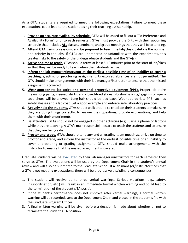As a GTA, students are required to meet the following expectations. Failure to meet these expectations could lead to the student losing their teaching assistantship.

- 1. **Provide an accurate availability schedule.** GTAs will be asked to fill out a "TA Preference and Availability Form" prior to each semester. GTAs must provide the DIRL with their upcoming schedule that includes **ALL** classes, seminars, and group meetings that they will be attending.
- 2. **Attend GTA training sessions, and be prepared to teach the lab/class.** Safety is the number one priority in the labs. If GTAs are unprepared or unfamiliar with the experiments, this creates risks to the safety of the undergraduate students and the GTA(s).
- 3. **Arrive on time to teach.** GTAs should arrive at least 5-10 minutes prior to the start of lab/class so that they will be ready to teach when their students arrive.
- 4. **Inform the lab manager/instructor at the earliest possible time of an inability to cover a teaching, grading, or proctoring assignment.** Unexcused absences are not permitted. The GTA should make arrangements with their lab manager/instructor to ensure that the missed assignment is covered.
- 5. **Wear appropriate lab attire and personal protective equipment (PPE).** Proper lab attire means long pants, sleeved shirts, and closed-toed shoes. No shorts/skirts/leggings or opentoed shoes will be allowed. Long hair should be tied back. Wear appropriate PPE, such as safety glasses and a lab coat. Set a good example and enforce safe laboratory practices.
- 6. **Actively help the students.** GTAs should walk around to check on their students to make sure they are doing things correctly, to answer their questions, provide explanations, and help them with their experiments.
- 7. **Be attentive.** GTAs should not be engaged in other activities (e.g., using a phone or laptop) while they are teaching. A GTA's main responsibilities are to teach the students and to ensure that they are being safe.
- 8. **Proctor and grade.** GTAs should attend any and all grading team meetings, arrive on time to proctor and grade, and inform the instructor at the earliest possible time of an inability to cover a proctoring or grading assignment. GTAs should make arrangements with the instructor to ensure that the missed assignment is covered.

Graduate students will be [evaluated](#page-14-0) by their lab managers/instructors for each semester they serve as GTAs. The evaluations will be used by the Department Chair in the student's annual review and will also be submitted to the Graduate School. If a lab manager/instructor finds that a GTA is not meeting expectations, there will be progressive disciplinary consequences:

- 1. The student will receive up to three verbal warnings. Serious violations (e.g., safety, insubordination, etc.) will result in an immediate formal written warning and could lead to the termination of the student's TA position.
- 2. If the student's performance does not improve after verbal warnings, a formal written warning will be recorded, sent to the Department Chair, and placed in the student's file with the Graduate Program Officer.
- 3. A final written warning will be given before a decision is made about whether or not to terminate the student's TA position.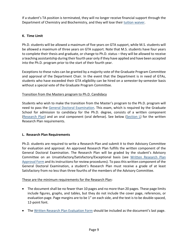If a student's TA position is terminated, they will no longer receive financial support through the Department of Chemistry and Biochemistry, and they will lose their [tuition waiver.](#page-13-0)

### <span id="page-9-0"></span>**K. Time Limit**

Ph.D. students will be allowed a maximum of five years on GTA support, while M.S. students will be allowed a maximum of three years on GTA support. Note that M.S. students have four years to complete their thesis and graduate, or change to Ph.D. status – they will be allowed to receive a teaching assistantship during their fourth year only if they have applied and have been accepted into the Ph.D. program prior to the start of their fourth year.

Exceptions to these rules can be granted by a majority vote of the Graduate Program Committee and approval of the Department Chair. In the event that the Department is in need of GTAs, students who have exceeded their GTA eligibility can be hired on a semester-by-semester basis without a special vote of the Graduate Program Committee.

### Transition from the Masters program to Ph.D. Candidacy

Students who wish to make the transition from the Master's program to the Ph.D. program will need to pass the [General Doctoral Examination.](#page-12-1) This exam, which is required by the Graduate School for admission to candidacy for the Ph.D. degree, consists of a written component [\(Research Plan\)](#page-9-1) and an oral component (oral defense). See below [\(Section](#page-9-1) L) for the written Research Plan requirements.

### <span id="page-9-1"></span>**L. Research Plan Requirements**

Ph.D. students are required to write a Research Plan and submit it to their Advisory Committee for evaluation and approval. An approved Research Plan fulfills the written component of the General Doctoral Examination. The Research Plan will be graded by the student's Advisory Committee on an Unsatisfactory/Satisfactory/Exceptional basis (see [Written Research Plan](#page-28-0)  [Approval Form](#page-28-0) and its instructions for review procedures). To pass this written component of the General Doctoral Examination, a student's Research Plan must receive a grade of at least Satisfactory from no less than three fourths of the members of the Advisory Committee.

### These are the minimum requirements for the Research Plan:

- The document shall be no fewer than 10 pages and no more than 20 pages. These page limits include figures, graphs, and tables, but they do not include the cover page, references, or evaluation page. Page margins are to be 1" on each side, and the text is to be double-spaced, 12-point font.
- The [Written Research Plan Evaluation Form](#page-29-0) should be included as the document's last page.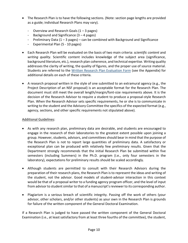- The Research Plan is to have the following sections. (Note: section page lengths are provided as a guide; individual Research Plans may vary).
	- Overview and Research Goals (1 3 pages)
	- Background and Significance (3 4 pages)
	- Preliminary Data  $(1 3$  pages) can be combined with Background and Significance
	- Experimental Plan (5 10 pages)
- Each Research Plan will be evaluated on the basis of two main criteria: *scientific content* and *writing quality*. Scientific content includes knowledge of the subject area (significance, background literature, etc.), research plan coherence, and technical expertise. Writing quality addresses the clarity of writing, the quality of figures, and the proper use of source material. Students are referred to the [Written Research Plan Evaluation Form](#page-29-0) (see the Appendix) for additional details on each of these criteria.
- A research proposal written in the style of one submitted to an extramural agency (e.g., the Project Description of an NSF proposal) is an acceptable format for the Research Plan. The document must still meet the overall length/margin/font-size requirements above. It is the decision of the Research Advisor to require a student to produce a proposal-style Research Plan. When the Research Advisor sets specific requirements, he or she is to communicate in writing to the student and the Advisory Committee the specifics of the expected format (e.g., agency, sections, and other specific requirements not stipulated above).

### Additional Guidelines:

- As with any research plan, preliminary data are desirable, and students are encouraged to engage in the research of their laboratories to the greatest extent possible upon joining a group. However, students, advisors, and committees should bear in mind that the purpose of the Research Plan is not to report large quantities of preliminary data. A satisfactory or exceptional plan can be produced with relatively few preliminary results. Given that the Department strongly recommends that the initial Research Plan be submitted within five semesters (including Summers) in the Ph.D. program (i.e., only four semesters in the laboratory), expectations for preliminary results should be scaled accordingly.
- Although students are permitted to consult with their Research Advisors during the preparation of their research plans, the Research Plan is to represent the ideas and writing of the student, not the advisor. Good models of student-advisor interaction in this context would be that of a proposal writer to a funding agency program officer, and the level of input from advisor to student similar to that of a manuscript's reviewer to its corresponding author.
- Plagiarism is a serious breach of scientific integrity. Passing off the work of others (your advisor, other scholars, and/or other students) as your own in the Research Plan is grounds for failure of the written component of the General Doctoral Examination.

If a Research Plan is judged to have passed the written component of the General Doctoral Examination (i.e., at least satisfactory from at least three fourths of the committee), the student,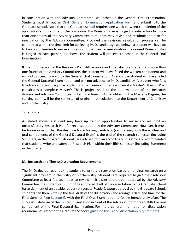in consultation with the Advisory Committee, will schedule the General Oral Examination. Students must fill out an [Oral \(General\) Examination Application Form](https://web.auburn.edu/alpha/forms/form-a.aspx) and submit it to the Graduate School. Note that the Graduate School requires one week between completion of the application and the time of the oral exam. If a Research Plan is judged unsatisfactory by more than one fourth of the Advisory Committee, a student may revise and resubmit the plan for revaluation by the Advisory Committee. Provided the revision/reevaluation process can be completed within the time limit for achieving Ph.D. candidacy (see below), a student will have up to two opportunities to revise and resubmit the plan for reevaluation. If a revised Research Plan is judged to have passed, as above, the student will proceed to schedule the General Oral Examination.

If the third version of the Research Plan still receives an Unsatisfactory grade from more than one fourth of the Advisory Committee, the student will have failed the written component and will not proceed forward to the General Oral Examination. As such, the student will have failed the General Doctoral Examination and will not advance to Ph.D. candidacy. A student who fails to advance to candidacy may apply his or her research progress toward a Master's Thesis. What constitutes a complete Master's Thesis project shall be the determination of the Research Advisor and Advisory Committee. In terms of time limits for obtaining the Master's Degree, the starting point will be the semester of original matriculation into the Department of Chemistry and Biochemistry.

### Time Limits

As stated above, a student may have up to two opportunities to revise and resubmit an unsatisfactory Research Plan for reconsideration by the Advisory Committee. However, it must be borne in mind that the deadline for achieving candidacy (i.e., passing both the written and oral components of the General Doctoral Exam) is the end of the seventh semester (including Summers) in the program. Students are advised to plan accordingly. It is strongly recommended that students write and submit a Research Plan within their fifth semester (including Summers) in the program.

### <span id="page-11-0"></span>**M. Research and Thesis/Dissertation Requirements**

The Ph.D. degree requires the student to write a dissertation based on original research on a significant problem in chemistry or biochemistry. Students are required to give their Advisory Committee at least fourteen days to review their dissertation. Upon approval by the Advisory Committee, the student can submit the approved draft of the dissertation to the Graduate School for assignment of an outside reader (University Reader). Upon approval by the Graduate School, students can then write up the final draft of the dissertation and arrange a date and time for the Final Seminar (see [Section](#page-7-3) I), with the Final Oral Examination to follow immediately after. The successful defense of the written dissertation in front of the Advisory Committee fulfills the oral component of the Final Doctoral Examination. For more general information on dissertation requirements, refer to the Graduate School's [guide on thesis and dissertation requirements.](http://graduate.auburn.edu/current-students/electronic-thesis-dissertation-guide/)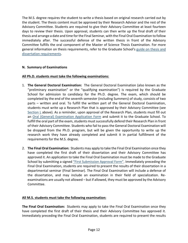The M.S. degree requires the student to write a thesis based on original research carried out by the student. The thesis content must be approved by their Research Advisor and the rest of the Advisory Committee. Students are required to give their Advisory Committee at least fourteen days to review their thesis. Upon approval, students can then write up the final draft of their thesis and arrange a date and time for the Final Seminar, with the Final Oral Examination to follow immediately after. The successful defense of the written thesis in front of the Advisory Committee fulfills the oral component of the Master of Science Thesis Examination. For more general information on thesis requirements, refer to the Graduate School's [guide on thesis and](http://graduate.auburn.edu/current-students/electronic-thesis-dissertation-guide/)  [dissertation requirements.](http://graduate.auburn.edu/current-students/electronic-thesis-dissertation-guide/)

### <span id="page-12-0"></span>**N. Summary of Examinations**

### **All Ph.D. students must take the following examinations:**

- <span id="page-12-1"></span>1. **The General Doctoral Examination:** The General Doctoral Examination (also known as the "preliminary examination" or the "qualifying examination") is required by the Graduate School for admission to candidacy for the Ph.D. degree. The exam, which should be completed by the end of the seventh semester (including Summers) of study, consists of two parts – written and oral. To fulfill the written part of the General Doctoral Examination, students must write up a Research Plan that is approved by their Advisory Committee (see [Section](#page-9-1) L above). As a reminder, upon approval of the Research Plan, students must fill out an [Oral \(General\) Examination Application Form](https://web.auburn.edu/alpha/forms/form-a.aspx) and submit it to the Graduate School. To fulfill the oral part of the exam, students must successfully defend their Research Plan in front of their Advisory Committee. Students who fail to pass the General Doctoral Examination will be dropped from the Ph.D. program, but will be given the opportunity to write up the research work they have already completed and submit it in partial fulfillment of the requirements for the M.S. degree.
- 2. **The Final Oral Examination:** Students may apply to take the Final Oral Examination once they have completed the first draft of their dissertation and their Advisory Committee has approved it. An application to take the Final Oral Examination must be made to the Graduate School by submitting a signed ["First Submission Approval Form".](http://graduate.auburn.edu/current-students/forms-directory/) Immediately preceding the Final Oral Examination, students are required to present the results of their dissertation in a departmental seminar (Final Seminar). The Final Oral Examination will include a defense of the dissertation, and may include an examination in their field of specialization. Reexaminations are usually not allowed – but if allowed, they must be approved by the Advisory Committee.

#### **All M.S. students must take the following examination:**

**The Final Oral Examination:** Students may apply to take the Final Oral Examination once they have completed the first draft of their thesis and their Advisory Committee has approved it. Immediately preceding the Final Oral Examination, students are required to present the results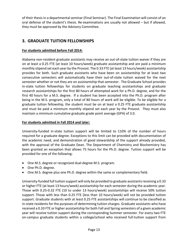of their thesis in a departmental seminar (Final Seminar). The Final Examination will consist of an oral defense of the student's thesis. Re-examinations are usually not allowed – but if allowed, they must be approved by the Advisory Committee.

### <span id="page-13-0"></span>**3. GRADUATE TUITION FELLOWSHIPS**

### **For students admitted before Fall 2014:**

Alabama non-resident graduate assistants may receive an out-of-state tuition waiver if they are on at least a 0.25 FTE (at least 10 hours/week) graduate assistantship and are paid a minimum monthly stipend set each year by the Provost. The 0.33 FTE (at least 13 hours/week) assistantship provides for both. Such graduate assistants who have been on assistantship for at least two consecutive semesters will automatically have their out-of-state tuition waived for the next semester whether or not they are on assistantship that semester. The Graduate School provides in-state tuition fellowships for students on graduate teaching assistantships and graduate research assistantships for the first 80 hours of attempted work for a Ph.D. degree, and for the first 40 hours for a M.S. degree. If a student has been accepted into the Ph.D. program after being in the M.S. program, only a total of 80 hours of work will be eligible. To be eligible for a graduate tuition fellowship, the student must be on at least a 0.25 FTE graduate assistantship and must be paid a minimum monthly stipend set each year by the Provost. They must also maintain a minimum cumulative graduate grade point average (GPA) of 3.0.

### **For students admitted in Fall 2014 and later:**

University-funded in-state tuition support will be limited to 110% of the number of hours required for a graduate degree. Exceptions to this limit can be provided with documentation of the academic need, and demonstration of good stewardship of the support already provided, with the approval of the Graduate Dean. The Department of Chemistry and Biochemistry has been granted an exception that allows 75 hours for the Ph.D. degree. Tuition support will be provided for one of the following:

- One M.S. degree or recognized dual-degree M.S. program.
- One Ph.D. degree.
- One M.S. degree plus one Ph.D. degree within the same or complementary field.

University-funded full tuition support will only be provided to graduate assistants receiving a 0.33 or higher FTE (at least 13 hours/week) assistantship for each semester during the academic year. Those with 0.25-0.32 FTE (10 to under 13 hours/week) assistantships will receive 50% tuition support. Those with less than 0.25 FTE (less than 10 hours/week) will not be provided tuition support. Graduate students with at least 0.25 FTE assistantships will continue to be classified as in-state residents for the purposes of determining tuition charges. Graduate assistants who have received a 0.33 FTE or higher assistantship for both Fall and Spring semesters of a given academic year will receive tuition support during the corresponding Summer semester. For every two FTE on-campus graduate students within a college/school who received full-tuition support from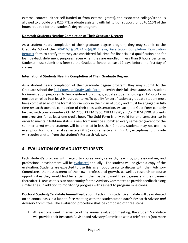external sources (either self-funded or from external grants), the associated college/school is allowed to provide one 0.25 FTE graduate assistant with full tuition support for up to 110% of the hours required for that student's degree program.

### **Domestic Students Nearing Completion of Their Graduate Degree:**

As a student nears completion of their graduate degree program, they may submit to the Graduate School the [GRAD7@@0/GRAD8@@0 Thesis/Dissertation Completion Registration](http://graduate.auburn.edu/wp-content/uploads/2017/11/Grad_7@@0_8@@0_Form_2017.pdf)  [Request](http://graduate.auburn.edu/wp-content/uploads/2017/11/Grad_7@@0_8@@0_Form_2017.pdf) form to certify that they are considered full-time for financial aid qualification and for loan payback deferment purposes, even when they are enrolled in less than 9 hours per term. Students must submit this form to the Graduate School at least 12 days before the first day of classes.

### <span id="page-14-1"></span>**International Students Nearing Completion of Their Graduate Degree:**

As a student nears completion of their graduate degree program, they may submit to the Graduate School the [Full Course of Study Gold Form](http://www.auburn.edu/academic/international/isss/docs/full_course_of_study_instructions.pdf) to certify their full-time status as a student for immigration purposes. To be considered full-time, graduate students holding an F-1 or J-1 visa must be enrolled in at least 9 hours per term. To qualify for certification, a graduate student must have completed all of the formal course work in their Plan of Study and must be engaged in fulltime research towards completion of their thesis/dissertation. As such, the Gold Form can only be used with course numbers CHEM 7750, CHEM 7950, CHEM 7990, and/or CHEM 8990. Students must register for at least one credit hour. The Gold Form is only valid for one semester, so in order to maintain full-time status, a new form must be submitted every semester (except for the summer term) where students will be enrolled in less than 9 hours. Students may not use this exemption for more than 4 semesters (M.S.) or 6 semesters (Ph.D.). Any exceptions to this rule will require a letter from the student's Research Advisor.

### <span id="page-14-0"></span>**4. EVALUATION OF GRADUATE STUDENTS**

Each student's progress with regard to course work, research, teaching, professionalism, and professional development will be [evaluated](http://bulletin.auburn.edu/thegraduateschool/academicprogress/) annually. The student will be given a copy of the evaluation. Students are expected to use this as an opportunity to discuss with their Advisory Committees their assessment of their own professional growth, as well as research or course opportunities they would find beneficial in their paths toward their degrees and their careers thereafter. Likewise, this is an opportunity for the Advisory Committee to provide feedback along similar lines, in addition to monitoring progress with respect to program milestones.

**Doctoral Student/Candidate Annual Evaluation:** Each Ph.D. student/candidate will be evaluated on an annual basis in a face-to-face meeting with the student/candidate's Research Advisor *and* Advisory Committee. The evaluation procedure shall be composed of three steps:

1. At least one week in advance of the annual evaluation meeting, the student/candidate will provide their Research Advisor and Advisory Committee with a brief report (not more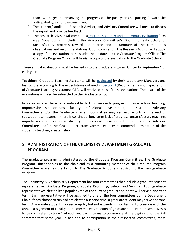than two pages) summarizing the progress of the past year and putting forward the anticipated goals for the coming year.

- 2. The student/candidate, Research Advisor, and Advisory Committee will meet to discuss the report and provide feedback.
- 3. The Research Advisor will complete [a Doctoral Student/Candidate Annual Evaluation](#page-30-0) form (see Appendix H), including the Advisory Committee's finding of satisfactory or unsatisfactory progress toward the degree and a summary of the committee's observations and recommendations. Upon completion, the Research Advisor will supply a copy of the evaluation to the student/candidate and the Graduate Program Officer. The Graduate Program Officer will furnish a copy of the evaluation to the Graduate School.

These annual evaluations must be turned in to the Graduate Program Officer by *September 1* of each year.

**Teaching:** Graduate Teaching Assistants will be [evaluated](http://bulletin.auburn.edu/thegraduateschool/graduateassistantshipsandfellowships/) by their Laboratory Managers and Instructors according to the expectations outlined in [Section](#page-7-2) J (Requirements and Expectations of Graduate Teaching Assistants). GTAs will receive copies of these evaluations. The results of the evaluations will also be submitted to the Graduate School.

In cases where there is a noticeable lack of research progress, unsatisfactory teaching, unprofessionalism, or unsatisfactory professional development, the student's Advisory Committee and/or the Graduate Program Committee may request reports at the end of subsequent semesters. If there is continued, long-term lack of progress, unsatisfactory teaching, unprofessionalism, or unsatisfactory professional development, the student's Advisory Committee and/or the Graduate Program Committee may recommend termination of the student's teaching assistantship.

### <span id="page-15-0"></span>**5. ADMINISTRATION OF THE CHEMISTRY DEPARTMENT GRADUATE PROGRAM**

The graduate program is administered by the Graduate Program Committee. The Graduate Program Officer serves as the chair and as a continuing member of the Graduate Program Committee as well as the liaison to The Graduate School and advisor to the new graduate students.

The Chemistry & Biochemistry Department has four committees that include a graduate student representative: Graduate Program, Graduate Recruiting, Safety, and Seminar. Four graduate representatives elected by a popular vote of the current graduate students will serve a one-year term. Each representative will be assigned to one of the four committees by the Department Chair. If they choose to run and are elected a second time, a graduate student may serve a second term. A graduate student may serve up to, but not exceeding, two terms. To coincide with the annual assignment of Faculty to the committees, election of graduate student representatives is to be completed by June 1 of each year, with terms to commence at the beginning of the Fall semester that same year. In addition to participation in their respective committees, these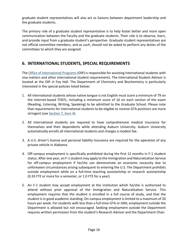graduate student representatives will also act as liaisons between department leadership and the graduate students.

The primary role of a graduate student representative is to help foster better and more open communication between the Faculty and the graduate students. Their role is to observe, learn, and provide input from a graduate student's perspective. Graduate student representatives are not official committee members, and as such, should not be asked to perform any duties of the committees to which they are assigned.

### <span id="page-16-0"></span>**6. INTERNATIONAL STUDENTS, SPECIAL REQUIREMENTS**

Th[e Office of International Programs](http://www.auburn.edu/academic/international/) (OIP) is responsible for assisting international students with visa matters and other international student requirements. The International Student Advisor is located at the OIP in Foy Hall. The Department of Chemistry and Biochemistry is particularly interested in the special policies listed below:

- 1. All international students whose native tongue is not English must score a minimum of 79 on the internet-based TOEFL, including a minimum score of 16 on each section of the exam (Reading, Listening, Writing, Speaking) to be admitted to the Graduate School. Please note that requirements for International students to be eligible to receive GTA positions are more stringent (see Section [7, item 4\)](#page-17-2).
- 2. All international students are required to have comprehensive medical insurance for themselves and their dependents while attending Auburn University. Auburn University automatically enrolls all international students and charges a modest fee.
- 3. A U.S. driver's license and personal liability insurance are required for the operation of any private vehicle in Alabama.
- 4. Off-campus employment is specifically prohibited during the first 12 months in F-1 student status. After one year, an F-1 student may apply to the Immigration and Naturalization Service for off-campus employment if he/she can demonstrate an economic necessity due to unforeseen circumstances arising subsequent to entering the U.S. The Department prohibits outside employment while on a full-time teaching assistantship or research assistantship (0.33 FTE or more for a semester, or 1.0 FTE for a year).
- 5. An F-1 student may accept employment at the institution which he/she is authorized to attend without prior approval of the Immigration and Naturalization Service. This employment requires that the student is enrolled in a full course of study, and that the student is in good academic standing. On-campus employment is limited to a maximum of 20 hours per week. For students with less than a full-time GTA or GRA, employment outside the Department is allowed but not encouraged. Seeking employment outside the Department requires written permission from the student's Research Advisor and the Department Chair.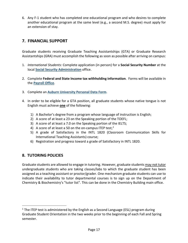6. Any F-1 student who has completed one educational program and who desires to complete another educational program at the same level (e.g., a second M.S. degree) must apply for an extension of stay.

### <span id="page-17-0"></span>**7. FINANCIAL SUPPORT**

Graduate students receiving Graduate Teaching Assistantships (GTA) or Graduate Research Assistantships (GRA) must accomplish the following as soon as possible after arriving on campus:

- 1. *International Students:* Complete application (in person) for a **Social Security Number** at the local **[Social Security Administration](https://secure.ssa.gov/ICON/#officeResults)** office.
- 2. Complete **Federal and State Income tax withholding information**. Forms will be available in the **[Payroll Office](http://www.auburn.edu/administration/business-finance/payroll/)**.
- 3. Complete an **[Auburn University Personal Data Form](http://www.auburn.edu/administration/human_resources/forms/pdf_2015.pdf)**.
- <span id="page-17-2"></span>4. In order to be eligible for a GTA position, all graduate students whose native tongue is not English must achieve **one** of the following:
	- 1) A Bachelor's degree from a program whose language of instruction is English;
	- 2) A score of at least a 23 on the Speaking portion of the TOEFL;
	- 3) A score of at least a 7.0 on the Speaking portion of the IELTS;
	- 4) A score of at least a 50 on the on-campus ITEP test;<sup>[1](#page-17-3)</sup>
	- 5) A grade of Satisfactory in the INTL 1820 (Classroom Communication Skills for International Teaching Assistants) course;
	- 6) Registration and progress toward a grade of Satisfactory in INTL 1820.

### <span id="page-17-1"></span>**8. TUTORING POLICIES**

Graduate students are allowed to engage in tutoring. However, graduate students may not tutor undergraduate students who are taking classes/labs to which the graduate student has been assigned as a teaching assistant or proctor/grader. One mechanism graduate students can use to indicate their availability to tutor departmental courses is to sign up on the Department of Chemistry & Biochemistry's "tutor list". This can be done in the Chemistry Building main office.

<span id="page-17-3"></span> $1$  The ITEP test is administered by the English as a Second Language (ESL) program during Graduate Student Orientation in the two weeks prior to the beginning of each Fall and Spring semester.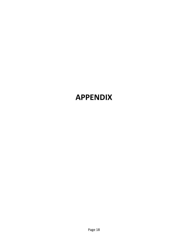# **APPENDIX**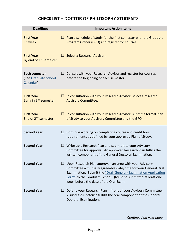### **CHECKLIST – DOCTOR OF PHILOSOPHY STUDENTS**

<span id="page-19-0"></span>

| <b>Deadlines</b>                                        |        | <b>Important Action Items</b>                                                                                                                                                                                                                                                                            |  |  |
|---------------------------------------------------------|--------|----------------------------------------------------------------------------------------------------------------------------------------------------------------------------------------------------------------------------------------------------------------------------------------------------------|--|--|
| <b>First Year</b><br>1 <sup>st</sup> week               | ப      | Plan a schedule of study for the first semester with the Graduate<br>Program Officer (GPO) and register for courses.                                                                                                                                                                                     |  |  |
| <b>First Year</b><br>By end of 1 <sup>st</sup> semester | $\Box$ | Select a Research Advisor.                                                                                                                                                                                                                                                                               |  |  |
| Each semester<br>(See Graduate School<br>Calendar)      |        | $\Box$ Consult with your Research Advisor and register for courses<br>before the beginning of each semester.                                                                                                                                                                                             |  |  |
| <b>First Year</b><br>Early in 2 <sup>nd</sup> semester  | ப      | In consultation with your Research Advisor, select a research<br><b>Advisory Committee.</b>                                                                                                                                                                                                              |  |  |
| <b>First Year</b><br>End of 2 <sup>nd</sup> semester    | ப      | In consultation with your Research Advisor, submit a formal Plan<br>of Study to your Advisory Committee and the GPO.                                                                                                                                                                                     |  |  |
| <b>Second Year</b>                                      | ப      | Continue working on completing course and credit hour<br>requirements as defined by your approved Plan of Study.                                                                                                                                                                                         |  |  |
| <b>Second Year</b>                                      |        | $\Box$ Write up a Research Plan and submit it to your Advisory<br>Committee for approval. An approved Research Plan fulfills the<br>written component of the General Doctoral Examination.                                                                                                               |  |  |
| <b>Second Year</b>                                      |        | Upon Research Plan approval, arrange with your Advisory<br>Committee a mutually agreeable date/time for your General Oral<br>Examination. Submit the "Oral (General) Examination Application<br>Form" to the Graduate School. (Must be submitted at least one<br>week before the date of the Oral Exam.) |  |  |
| <b>Second Year</b>                                      | ப      | Defend your Research Plan in front of your Advisory Committee.<br>A successful defense fulfills the oral component of the General<br>Doctoral Examination.                                                                                                                                               |  |  |
|                                                         |        | Continued on next page                                                                                                                                                                                                                                                                                   |  |  |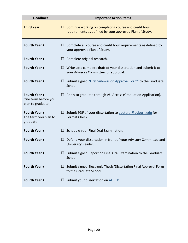| <b>Deadlines</b>                                         | <b>Important Action Items</b>                                                                                         |  |  |  |
|----------------------------------------------------------|-----------------------------------------------------------------------------------------------------------------------|--|--|--|
| <b>Third Year</b>                                        | Continue working on completing course and credit hour<br>⊔<br>requirements as defined by your approved Plan of Study. |  |  |  |
| Fourth Year +                                            | Complete all course and credit hour requirements as defined by<br>⊔<br>your approved Plan of Study.                   |  |  |  |
| <b>Fourth Year +</b>                                     | Complete original research.<br>ப                                                                                      |  |  |  |
| Fourth Year +                                            | Write up a complete draft of your dissertation and submit it to<br>ப<br>your Advisory Committee for approval.         |  |  |  |
| Fourth Year +                                            | $\Box$ Submit signed "First Submission Approval Form" to the Graduate<br>School.                                      |  |  |  |
| Fourth Year +<br>One term before you<br>plan to graduate | Apply to graduate through AU Access (Graduation Application).                                                         |  |  |  |
| <b>Fourth Year +</b><br>The term you plan to<br>graduate | Submit PDF of your dissertation to doctoral@auburn.edu for<br>ப<br>Format Check.                                      |  |  |  |
| Fourth Year +                                            | Schedule your Final Oral Examination.<br>⊔                                                                            |  |  |  |
| Fourth Year +                                            | Defend your dissertation in front of your Advisory Committee and<br>ப<br>University Reader.                           |  |  |  |
| Fourth Year +                                            | $\Box$ Submit signed Report on Final Oral Examination to the Graduate<br>School.                                      |  |  |  |
| Fourth Year +                                            | Submit signed Electronic Thesis/Dissertation Final Approval Form<br>ப<br>to the Graduate School.                      |  |  |  |
| Fourth Year +                                            | Submit your dissertation on AUETD<br>ப                                                                                |  |  |  |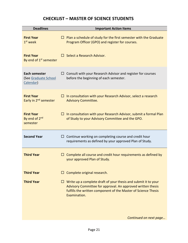### **CHECKLIST – MASTER OF SCIENCE STUDENTS**

<span id="page-21-0"></span>

| <b>Deadlines</b>                                           | <b>Important Action Items</b>                                                                                                                                                                                   |  |  |  |
|------------------------------------------------------------|-----------------------------------------------------------------------------------------------------------------------------------------------------------------------------------------------------------------|--|--|--|
| <b>First Year</b><br>$1st$ week                            | Plan a schedule of study for the first semester with the Graduate<br>ப<br>Program Officer (GPO) and register for courses.                                                                                       |  |  |  |
| <b>First Year</b><br>By end of 1 <sup>st</sup> semester    | Select a Research Advisor.<br>$\Box$                                                                                                                                                                            |  |  |  |
| Each semester<br>(See Graduate School<br>Calendar)         | $\Box$ Consult with your Research Advisor and register for courses<br>before the beginning of each semester.                                                                                                    |  |  |  |
| <b>First Year</b><br>Early in 2 <sup>nd</sup> semester     | In consultation with your Research Advisor, select a research<br>ப<br><b>Advisory Committee.</b>                                                                                                                |  |  |  |
| <b>First Year</b><br>By end of 2 <sup>nd</sup><br>semester | In consultation with your Research Advisor, submit a formal Plan<br>of Study to your Advisory Committee and the GPO.                                                                                            |  |  |  |
| <b>Second Year</b>                                         | Continue working on completing course and credit hour<br>ப<br>requirements as defined by your approved Plan of Study.                                                                                           |  |  |  |
| <b>Third Year</b>                                          | Complete all course and credit hour requirements as defined by<br>$\Box$<br>your approved Plan of Study.                                                                                                        |  |  |  |
| <b>Third Year</b>                                          | Complete original research.                                                                                                                                                                                     |  |  |  |
| <b>Third Year</b>                                          | Write up a complete draft of your thesis and submit it to your<br>Advisory Committee for approval. An approved written thesis<br>fulfills the written component of the Master of Science Thesis<br>Examination. |  |  |  |

*Continued on next page…*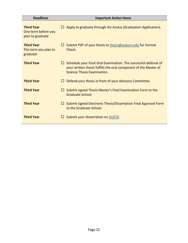| <b>Deadlines</b>                                             | <b>Important Action Items</b>                                                                                                                                                 |  |  |  |
|--------------------------------------------------------------|-------------------------------------------------------------------------------------------------------------------------------------------------------------------------------|--|--|--|
| <b>Third Year</b><br>One term before you<br>plan to graduate | Apply to graduate through AU Access (Graduation Application).<br>ш                                                                                                            |  |  |  |
| <b>Third Year</b><br>The term you plan to<br>graduate        | Submit PDF of your thesis to thesis@auburn.edu for Format<br>$\Box$<br>Check.                                                                                                 |  |  |  |
| <b>Third Year</b>                                            | Schedule your Final Oral Examination. The successful defense of<br>$\perp$<br>your written thesis fulfills the oral component of the Master of<br>Science Thesis Examination. |  |  |  |
| <b>Third Year</b>                                            | Defend your thesis in front of your Advisory Committee.                                                                                                                       |  |  |  |
| <b>Third Year</b>                                            | Submit signed Thesis Master's Final Examination Form to the<br>ш<br>Graduate School.                                                                                          |  |  |  |
| <b>Third Year</b>                                            | Submit signed Electronic Thesis/Dissertation Final Approval Form<br>$\Box$<br>to the Graduate School.                                                                         |  |  |  |
| <b>Third Year</b>                                            | Submit your dissertation on AUETD<br>$\Box$                                                                                                                                   |  |  |  |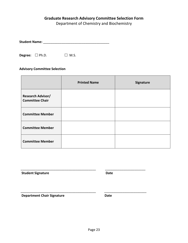### <span id="page-23-0"></span>**Graduate Research Advisory Committee Selection Form**

Department of Chemistry and Biochemistry

**Student Name:** \_\_\_\_\_\_\_\_\_\_\_\_\_\_\_\_\_\_\_\_\_\_\_\_\_\_\_\_\_\_\_\_\_\_\_\_

**Degree:** □ Ph.D. □ M.S.

### **Advisory Committee Selection**

|                                                    | <b>Printed Name</b> | Signature |
|----------------------------------------------------|---------------------|-----------|
| <b>Research Advisor/</b><br><b>Committee Chair</b> |                     |           |
| <b>Committee Member</b>                            |                     |           |
| <b>Committee Member</b>                            |                     |           |
| <b>Committee Member</b>                            |                     |           |

**Student Signature Date** Date

**Department Chair Signature Chair Signature Date** 

\_\_\_\_\_\_\_\_\_\_\_\_\_\_\_\_\_\_\_\_\_\_\_\_\_\_\_\_\_\_\_\_\_\_\_\_\_\_\_\_\_ \_\_\_\_\_\_\_\_\_\_\_\_\_\_\_\_\_\_\_\_\_\_

\_\_\_\_\_\_\_\_\_\_\_\_\_\_\_\_\_\_\_\_\_\_\_\_\_\_\_\_\_\_\_\_\_\_\_\_\_\_\_\_\_ \_\_\_\_\_\_\_\_\_\_\_\_\_\_\_\_\_\_\_\_\_\_\_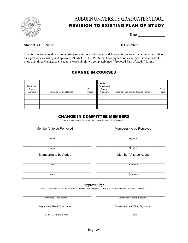

### <span id="page-24-0"></span>AUBURN UNIVERSITY GRADUATE SCHOOL REVISION TO EXISTING PLAN OF STUDY

| Date |  |
|------|--|
|------|--|

Student's Full Name

| D Number |  |
|----------|--|
|          |  |

This form is to be used when requesting substitutions, additions, or deletions for courses or committee members on a previously-existing and approved PLAN OF STUDY. Submit two signed copies to the Graduate School. If more than three changes are needed, please submit two completely new "Proposed Plan of Study" forms.

### CHANGE IN COURSES

| Removed<br>Course<br><b>Numbers</b> | <b>Removed Course Names</b> | Credit<br>Hours | Added or<br>Substituted<br>Course<br><b>Numbers</b> | Added or Substituted Course Names | Credit<br><b>Hours</b> |
|-------------------------------------|-----------------------------|-----------------|-----------------------------------------------------|-----------------------------------|------------------------|
|                                     |                             |                 |                                                     |                                   |                        |
|                                     |                             |                 |                                                     |                                   |                        |
|                                     |                             |                 |                                                     |                                   |                        |

### CHANGE IN COMMITTEE MEMBERS

Note: Current members to be removed should sign to indicate agreement.

Member(s) to be Removed Member(s) to be Removed

\_\_\_\_\_\_\_\_\_\_\_\_\_\_\_\_\_\_\_\_\_\_\_\_\_\_\_\_\_\_\_\_\_\_\_\_\_\_\_\_ \_\_\_\_\_\_\_\_\_\_\_\_\_\_\_\_\_\_\_\_\_\_\_\_\_\_\_\_\_\_\_\_\_\_\_\_\_\_\_\_

\_\_\_\_\_\_\_\_\_\_\_\_\_\_\_\_\_\_\_\_\_\_\_\_\_\_\_\_\_\_\_\_\_\_\_\_\_\_\_\_ \_\_\_\_\_\_\_\_\_\_\_\_\_\_\_\_\_\_\_\_\_\_\_\_\_\_\_\_\_\_\_\_\_\_\_\_\_\_\_\_

Name Signature in the Signature of the Signature of the Signature of the Signature of the Signature of the Signature

Name Signature is a state of the state of the state of the state of the Signature of the Signature of the Signature

Member(s) to be Added Member(s) to be Added

\_\_\_\_\_\_\_\_\_\_\_\_\_\_\_\_\_\_\_\_\_\_\_\_\_\_\_\_\_\_\_\_\_\_\_\_\_\_\_\_ \_\_\_\_\_\_\_\_\_\_\_\_\_\_\_\_\_\_\_\_\_\_\_\_\_\_\_\_\_\_\_\_\_\_\_\_\_\_\_\_ Name Signature in the Signature of the Signature of the Signature of the Signature of the Signature of the Signature

\_\_\_\_\_\_\_\_\_\_\_\_\_\_\_\_\_\_\_\_\_\_\_\_\_\_\_\_\_\_\_\_\_\_\_\_\_\_\_\_ \_\_\_\_\_\_\_\_\_\_\_\_\_\_\_\_\_\_\_\_\_\_\_\_\_\_\_\_\_\_\_\_\_\_\_\_\_\_\_\_ Name Signature is a state of the state of the state of the state of the Signature of the Signature of the Signature

### Approved by:

Note: The committee chair and department head or chair, in signing, certify that all committee members are in agreement.

\_\_\_\_\_\_\_\_\_\_\_\_\_\_\_\_\_\_\_\_\_\_\_\_\_\_\_\_\_\_\_\_\_\_\_\_\_\_\_\_ \_\_\_\_\_\_\_\_\_\_\_\_\_\_\_\_\_\_\_\_\_\_\_\_\_\_\_\_\_\_\_\_\_\_\_\_\_\_\_\_ Committee Chair Name Committee Chair Signature

\_\_\_\_\_\_\_\_\_\_\_\_\_\_\_\_\_\_\_\_\_\_\_\_\_\_\_\_\_\_\_\_\_\_\_\_\_\_\_\_ \_\_\_\_\_\_\_\_\_\_\_\_\_\_\_\_\_\_\_\_\_\_\_\_\_\_\_\_\_\_\_\_\_\_\_\_\_\_\_\_ Department Head/Chair Name Department Head/Chair Signature

\_\_\_\_\_\_\_\_\_\_\_\_\_\_\_\_\_\_\_\_\_\_\_\_\_\_\_\_\_\_\_\_\_\_\_\_\_\_\_\_ \_\_\_\_\_\_\_\_\_\_\_\_\_\_\_\_\_\_\_\_\_\_\_\_\_\_\_\_\_\_\_\_\_\_\_\_\_\_\_\_ Dean, Graduate School Date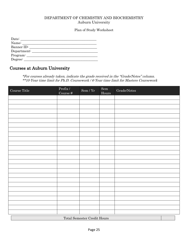### <span id="page-25-0"></span>DEPARTMENT OF CHEMISTRY AND BIOCHEMISTRY Auburn University

#### Plan of Study Worksheet

| Date:       |  |
|-------------|--|
| Name:       |  |
| Banner ID:  |  |
| Department: |  |
| Program:    |  |
| Degree:     |  |

### Courses at Auburn University

\*For courses already taken, indicate the grade received in the "Grade/Notes" column. \*\*10-Year time limit for Ph.D. Coursework / 6-Year time limit for Masters Coursework

| Course Title                       | Prefix $\mathcal I$<br>Course $\#$ | $\mbox{Sem}\,/\,\mbox{Yr}$ | $\operatorname{Sem}$<br>Hours | $\operatorname{Grade}/\operatorname{Notes}$ |  |  |
|------------------------------------|------------------------------------|----------------------------|-------------------------------|---------------------------------------------|--|--|
|                                    |                                    |                            |                               |                                             |  |  |
|                                    |                                    |                            |                               |                                             |  |  |
|                                    |                                    |                            |                               |                                             |  |  |
|                                    |                                    |                            |                               |                                             |  |  |
|                                    |                                    |                            |                               |                                             |  |  |
|                                    |                                    |                            |                               |                                             |  |  |
|                                    |                                    |                            |                               |                                             |  |  |
|                                    |                                    |                            |                               |                                             |  |  |
|                                    |                                    |                            |                               |                                             |  |  |
|                                    |                                    |                            |                               |                                             |  |  |
|                                    |                                    |                            |                               |                                             |  |  |
|                                    |                                    |                            |                               |                                             |  |  |
|                                    |                                    |                            |                               |                                             |  |  |
|                                    |                                    |                            |                               |                                             |  |  |
|                                    |                                    |                            |                               |                                             |  |  |
|                                    |                                    |                            |                               |                                             |  |  |
|                                    |                                    |                            |                               |                                             |  |  |
|                                    |                                    |                            |                               |                                             |  |  |
|                                    |                                    |                            |                               |                                             |  |  |
|                                    |                                    |                            |                               |                                             |  |  |
|                                    |                                    |                            |                               |                                             |  |  |
|                                    |                                    |                            |                               |                                             |  |  |
|                                    |                                    |                            |                               |                                             |  |  |
|                                    |                                    |                            |                               |                                             |  |  |
|                                    |                                    |                            |                               |                                             |  |  |
|                                    |                                    |                            |                               |                                             |  |  |
| <b>Total Semester Credit Hours</b> |                                    |                            |                               |                                             |  |  |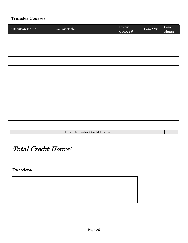### Transfer Courses

| <b>Institution Name</b> | <b>Course Title</b> | Prefix/<br>Course $#$ | Sem / Yr | ${\bf Sem}$<br>Hours |
|-------------------------|---------------------|-----------------------|----------|----------------------|
|                         |                     |                       |          |                      |
|                         |                     |                       |          |                      |
|                         |                     |                       |          |                      |
|                         |                     |                       |          |                      |
|                         |                     |                       |          |                      |
|                         |                     |                       |          |                      |
|                         |                     |                       |          |                      |
|                         |                     |                       |          |                      |
|                         |                     |                       |          |                      |
|                         |                     |                       |          |                      |
|                         |                     |                       |          |                      |
|                         |                     |                       |          |                      |
|                         |                     |                       |          |                      |
|                         |                     |                       |          |                      |
|                         |                     |                       |          |                      |
|                         |                     |                       |          |                      |
|                         |                     |                       |          |                      |
|                         |                     |                       |          |                      |
|                         |                     |                       |          |                      |
|                         |                     |                       |          |                      |
|                         |                     |                       |          |                      |

Total Semester Credit Hours

## Total Credit Hours:

Exceptions: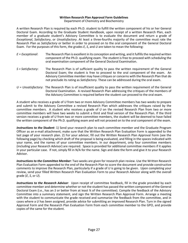#### **Written Research Plan Approval Form Guidelines** Department of Chemistry and Biochemistry

<span id="page-27-0"></span>A written Research Plan is required by each Ph.D. student to fulfill the written component of his or her General Doctoral Exam. According to the Graduate Student Handbook, upon receipt of a written Research Plan, each member of a graduate student's Advisory Committee is to evaluate the document and return a grade of *Exceptional*, *Satisfactory*, or *Unsatisfactory*. At least a three-fourths majority of the committee must rate the Research Plan as *Satisfactory* or better in order to proceed on to the oral component of the General Doctoral Exam. For the purposes of this form, the grades *E*, *S*, and *U* are taken to mean the following:

- *E = Exceptional*: The Research Plan is excellent in its conception and writing, and it fulfills the required written component of the Ph.D. qualifying exam. The student is free to proceed with scheduling the oral examination component of the General Doctoral Examination.
- *S = Satisfactory*: The Research Plan is of sufficient quality to pass the written requirement of the General Doctoral Exam; the student is free to proceed to the oral component of the exam. An Advisory Committee member may have critiques or concerns with the Research Plan that do not preclude its rating as *Satisfactory*. These can be addressed during the oral exam.
- *U = Unsatisfactory*: The Research Plan is of insufficient quality to pass the written requirement of the General Doctoral Examination. A revised Research Plan addressing the critiques of the members of the Advisory Committee is required before the student can proceed to the oral exam.

A student who receives a grade of *U* from two or more Advisory Committee members has two weeks to prepare and submit to the Advisory Committee a revised Research Plan which addresses the critiques raised by the committee members. A student who receives a grade of *U* on the revised Research Plan from two or more committee members will have two weeks to submit a third and final version of the Research Plan. If the third version receives a grade of *U* from two or more committee members, the student will be deemed to have failed the written component of the Ph.D. qualifying exam and will not proceed on to the oral component of the exam.

*Instructions to the Student*: 1) Send your research plan to each committee member and the Graduate Program Officer as an e-mail attachment; make sure that the Written Research Plan Evaluation Form is appended to the last page of your research plan. 2) For your advisor, fill out the Written Research Plan Approval Form (see the following page) by checking which draft of the proposal is being evaluated, and filling in the spaces indicated with your name, and the names of your committee members. In our department, only four committee members (including your Research Advisor) are required. Space is provided for additional committee members if it applies in your particular case. If not, simply fill in N/A for the name. Sign and date the form and give it to your Research Advisor.

*Instructions to the Committee Member*: Two weeks are given for research plan review. Use the Written Research Plan Evaluation Form appended to the end of the Research Plan to score the document and provide constructive comments to improve the Research Plan, particularly if a grade of *U* is going to be given. Upon completing your review, send your filled Written Research Plan Evaluation Form to your Research Advisor along with the overall grade (*E*, *S*, or *U*).

*Instructions to the Research Advisor*: Upon receipt of committee feedback, fill in the grade provided by each committee member and determine whether or not the student has passed the written component of the General Doctoral Exam (i.e., has an *S* or better from at least ¾ of the committee). Compile the feedback of the Advisory Committee into a summary statement, and sign the Written Research Plan Approval Form. Arrange a meeting with the student to communicate the grade received and summarize the feedback from the committee, and in cases where a *U* has been assigned, provide advice for submitting an improved Research Plan. Turn in the signed Approval Form and the Research Plan Evaluation Form from each committee member to the GPO, and provide copies of the same for the student.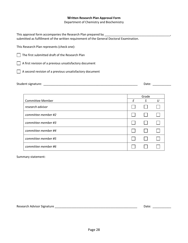#### **Written Research Plan Approval Form**

Department of Chemistry and Biochemistry

<span id="page-28-0"></span>This approval form accompanies the Research Plan prepared by \_\_\_\_\_\_\_\_\_\_\_\_\_\_\_\_\_\_\_ submitted as fulfillment of the written requirement of the General Doctoral Examination.

This Research Plan represents (check one):

 $\Box$  The first submitted draft of the Research Plan

 $\Box$  A first revision of a previous unsatisfactory document

A second revision of a previous unsatisfactory document

| Student signature: |  | Date. |  |
|--------------------|--|-------|--|
|--------------------|--|-------|--|

|                         |   | Grade |  |
|-------------------------|---|-------|--|
| <b>Committee Member</b> | F | .S    |  |
| research advisor        |   |       |  |
| committee member #2     |   |       |  |
| committee member #3     |   |       |  |
| committee member #4     |   |       |  |
| committee member #5     |   |       |  |
| committee member #6     |   |       |  |

Summary statement:

Research Advisor Signature \_\_\_\_\_\_\_\_\_\_\_\_\_\_\_\_\_\_\_\_\_\_\_\_\_\_\_\_\_\_\_\_\_\_\_\_\_\_\_\_\_\_\_\_\_\_\_\_\_ Date: \_\_\_\_\_\_\_\_\_\_\_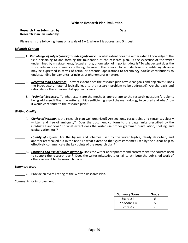#### **Written Research Plan Evaluation**

#### <span id="page-29-0"></span>**Research Plan Submitted by: Date: Date: Date: Date: Date: Date: Date: Date: Date: Date: Date: Date: Date: Date: Date: Date: Date: Date: Date: Date: Date: Date: Date: Date: Research Plan Evaluated by:**

Please rank the following items on a scale of  $1 - 5$ , where 1 is poorest and 5 is best.

#### *Scientific Content*

- \_\_\_\_\_\_ 1. *Knowledge of subject/background/significance***.** To what extent does the writer exhibit knowledge of the field pertaining to and forming the foundation of the research plan? Is the expertise of the writer undermined by misstatements, factual errors, or omission of important details? To what extent does the writer adequately communicate the significance of the research to be undertaken? Scientific significance may be expressed in terms of actual or potential applications to technology *and/or* contributions to understanding fundamental principles or phenomena in nature.
- \_\_\_\_\_\_ 2. *Research Plan Coherence***.** To what extent does the research plan have clear goals and objectives? Does the introductory material logically lead to the research problem to be addressed? Are the basis and rationale for the experimental approach clear?
- \_\_\_\_\_\_ 3. *Technical Expertise***.** To what extent are the methods appropriate to the research questions/problems being addressed? Does the writer exhibit a sufficient grasp of the methodology to be used and what/how it would contribute to the research plan?

#### *Writing Quality*

- \_\_\_\_\_\_ 4. *Clarity of Writing***.** Is the research plan well organized? Are sections, paragraphs, and sentences clearly written and free of ambiguity? Does the document conform to the page limits prescribed by the Graduate Handbook? To what extent does the writer use proper grammar, punctuation, spelling, and capitalization, etc.?
- \_\_\_\_\_\_ 5. *Quality of Figures***.** Are the figures and schemes used by the writer legible, clearly described, and appropriately called out in the text? To what extent do the figures/schemes used by the author help to effectively communicate the key points of the research plan?
- \_\_\_\_\_\_ 6. *Citations and use of source material***.** Does the writer appropriately and correctly cite the sources used to support the research plan? Does the writer misattribute or fail to attribute the published work of others relevant to the research plan?

#### *Summary score*

7. Provide an overall rating of the Written Research Plan.

Comments for improvement:

| <b>Summary Score</b> | Grade |
|----------------------|-------|
| Score $\geq 4$       |       |
| $2 \leq$ Score $<$ 4 |       |
| Score $<$ 2          |       |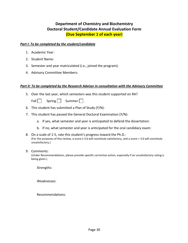### **Department of Chemistry and Biochemistry Doctoral Student/Candidate Annual Evaluation Form (Due September 1 of each year)**

#### <span id="page-30-0"></span>*Part I: To be completed by the student/candidate*

- 1. Academic Year:
- 2. Student Name:
- 3. Semester and year matriculated (i.e., joined the program):
- 4. Advisory Committee Members:

### *Part II: To be completed by the Research Advisor in consultation with the Advisory Committee*

5. Over the last year, which semesters was this student supported on RA?

Fall  $\Box$  Spring  $\Box$  Summer  $\Box$ 

- 6. This student has submitted a Plan of Study (Y/N):
- 7. This student has passed the General Doctoral Examination (Y/N):
	- a. If yes, what semester and year is anticipated to defend the dissertation:
	- b. If no, what semester and year is anticipated for the oral candidacy exam:
- 8. On a scale of 1-5, rate this student's progress toward the Ph.D.: (For the purposes of this review, a score ≥ 3.0 will constitute satisfactory, and a score < 3.0 will constitute unsatisfactory.)

#### 9. Comments:

(Under Recommendations, please provide specific corrective action, especially if an unsatisfactory rating is being given.)

Strengths:

Weaknesses:

Recommendations: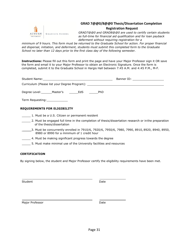<span id="page-31-0"></span>

### **GRAD 7@@0/8@@0 Thesis/Dissertation Completion**

#### **Registration Request**

*GRAD7@@0 and GRAD8@@0 are used to certify certain students as full-time for financial aid qualification and for loan payback deferment without requiring registration for a*

*minimum of 9 hours. This form must be returned to the Graduate School for action. For proper financial aid dispersal, initiation, and deferment, students must submit this completed form to the Graduate School no later than 12 days prior to the first class day of the following semester.*

**Instructions:** Please fill out this form and print the page and have your Major Professor sign it OR save the form and email it to your Major Professor to obtain an Electronic Signature. Once the form is completed, submit it to the Graduate School in Hargis Hall between 7:45 A.M. and 4:45 P.M., M-F.

|                                                                                  | Banner ID: _____________________ |  |  |
|----------------------------------------------------------------------------------|----------------------------------|--|--|
| Curriculum (Please list your Degree Program): __________________________________ |                                  |  |  |
| Degree Level: _______ Master's __________ EdS<br>PhD                             |                                  |  |  |
| Term Requesting:                                                                 |                                  |  |  |

#### **REQUIREMENTS FOR ELIGIBILITY**

- 1. Must be a U.S. Citizen or permanent resident
- 2. Must be engaged full time in the completion of thesis/dissertation research or in the preparation of the thesis/dissertation
- \_\_\_\_\_3. Must be concurrently enrolled in 7910/6, 7920/6, 7950/6, 7980, 7990, 8910, 8920, 8940, 8950, 8980 or 8990 for a minimum of 1 credit hour
- 4. Must be making significant progress towards the degree
- 5. Must make minimal use of the University facilities and resources

#### **CERTIFICATION**

By signing below, the student and Major Professor certify the eligibility requirements have been met.

Student **Date** 

Major Professor **Date**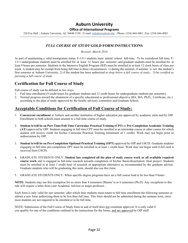### **Auburn University**

#### **Office of International Programs**

<span id="page-32-0"></span>228 Foy Hall | Auburn University, AL 36849-5150 | E-mail: [intledu@auburn.edu](mailto:intledu@auburn.edu) | Phone: (334) 844-5001 | Fax: (334) 844-4983

### *FULL COURSE OF STUDY* **GOLD FORM INSTRUCTIONS**

*Revised: March 2014*

As part of maintaining a valid immigration status, F-1/J-1 students must attend school full-time. To be considered full time, F-1/J-1 undergraduate students must be enrolled for at least 12 hours per semester, and graduate students must be enrolled for at least 9 hours per semester. Students in the Intensive English Program (IEP) must be enrolled in at least 12 clock hours of class per week. A student may be exempt from being full time in three circumstances: 1) during the summer, if summer is not the student's first semester at Auburn University, 2) if the student has been authorized to *drop below a full course of study*, 3) be *certified as pursuing a full course of study*.

### **Certification for Full Course of Study**

Full course of study can be defined in two ways:

- 1. Full time enrollment (9 credit hours for graduate students and 12 credit hours for undergraduate students per semester).
- 2. Normal progress toward the attainment of a specific educational or professional objective (BA, MA, Ph.D., Certificate, etc.) according to the plan of study approved by the faculty advisory committee and Graduate School.

### **Acceptable Conditions for Certification of Full Course of Study:**

- 1. **Concurrent enrollment** at Auburn and another institution of higher education pre-approved by academic units and by OIP. Enrollment in both schools must amount to a full time course of study.
- 2. **Student is/will be on Part Time/Full Time Curricular Practical Training (CPT)** or **Pre-Completion Academic Training (AT)** approved by OIP. Students engaging in full time CPT must be enrolled in an internship course or other course for which student will receive credit for his/her Curricular Practical Training (minimum of 1 credit). Work may not begin prior to authorization by OIP.
- 3. **Student is/will be on Pre-Completion Optional Practical Training (OPT)** approved by OIP and USCIS. Graduate students engaging in full-time pre-completion OPT must be enrolled in at least 1 credit hour. Work may not begin until EAD card is received from USCIS.
- 4. GRADUATE STUDENTS ONLY: **Student has completed all the plan of study course work or all available required course work** and is engaged in full-time research towards completion of his/her thesis/dissertation/ final project. Students must be enrolled in at least 1 credit hour of research or appropriate alternative as recommended by the graduate advisor. Graduate students who will be graduating this term, should also use this form.
- 5. GRADUATE STUDENTS ONLY: When specific degree programs have set a full course load to be less than 9 hours.

**NOTE:** Students may use this exemption for no more than 4 semesters (Master's) or 6 semesters (Ph.D). Any exceptions to this rule will require a letter from your Academic Advisor or major professor..

Each form is only valid for one semester, after which time students must return to full time enrollment the following semester or submit a new form authorizing them to be less than full time. This form should not be submitted during the summer term, since most students are not required to be enrolled or to be full time.

NOTE: Submission of the Full Course of Study form in and of itself does not constitute approval. It is only valid if you qualify for one of the conditions outlined in the instructions for the forms, and are approved by OIP staff.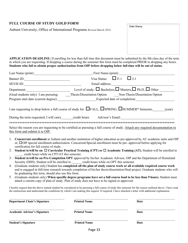### **FULL COURSE OF STUDY GOLD FORM**

<span id="page-33-0"></span>Auburn University, Office of International Programs *Revised March 2014*

**APPLICATION DEADLINE:** If enrolling for less than full time this document must be submitted by the 8th class day of the term in which you are requesting. If dropping a course during the semester this form must be completed PRIOR to dropping any hours. **Students who fail to obtain proper authorization from OIP before dropping below full time will be out of status.**

| Last Name (print):                                                                                                                                                                                              | $\Box$ , First Name (print):                                                                                                                                                                                                                               |  |  |  |
|-----------------------------------------------------------------------------------------------------------------------------------------------------------------------------------------------------------------|------------------------------------------------------------------------------------------------------------------------------------------------------------------------------------------------------------------------------------------------------------|--|--|--|
|                                                                                                                                                                                                                 | Visa Status: $\Box$ F-1 $\Box$ J-1                                                                                                                                                                                                                         |  |  |  |
| SEVIS ID:                                                                                                                                                                                                       |                                                                                                                                                                                                                                                            |  |  |  |
| Department:                                                                                                                                                                                                     | Level of study: $\Box$ Bachelors, $\Box$ Masters, $\Box$ Ph.D., $\Box$ Other                                                                                                                                                                               |  |  |  |
|                                                                                                                                                                                                                 | (Grad students only) I am pursuing: Thesis/Dissertation Option Non-Thesis/Dissertation Option                                                                                                                                                              |  |  |  |
|                                                                                                                                                                                                                 | Program start date (current degree): Expected date of completion:                                                                                                                                                                                          |  |  |  |
|                                                                                                                                                                                                                 | I am requesting to drop below a full course of study for $\Box$ FALL, $\Box$ SPRING, $\Box$ SUMMER* Semester,<br>(year)                                                                                                                                    |  |  |  |
|                                                                                                                                                                                                                 | During the term requested, I will carry eredit hours Advisor's Email:                                                                                                                                                                                      |  |  |  |
|                                                                                                                                                                                                                 |                                                                                                                                                                                                                                                            |  |  |  |
| this form and submit it to OIP.                                                                                                                                                                                 | Select the reason you are requesting to be certified as pursuing a full course of study. Attach any required documentation to                                                                                                                              |  |  |  |
| 1.<br>certification for full course of study.                                                                                                                                                                   | Concurrent enrollment at Auburn and another institution of higher education as pre-approved by AU academic units and OIP<br>or, DOIP special enrollment authorization. Concurrent/Special enrollment must be pre- approved before applying for             |  |  |  |
| Student is/will be on $\Box$ Curricular Practical Training (CPT) or $\Box$ Academic Training (AT). Student will be enrolled in<br>2.<br>credit hours while on CPT/AT this semester.                             |                                                                                                                                                                                                                                                            |  |  |  |
| Student is/will be on Pre-Completion OPT approved by his/her Academic Advisor, OIP and the Department of Homeland<br>3.<br>Security (DHS). Student will be enrolled in eredit hours while on OPT this semester. |                                                                                                                                                                                                                                                            |  |  |  |
| 4.<br>be graduating this term, should also use this form.                                                                                                                                                       | (Graduate students only) Student has completed all the plan of study course work or all available required course work<br>and is engaged in full-time research towards completion of his/her thesis/dissertation/final project. Graduate students who will |  |  |  |
| 5.                                                                                                                                                                                                              | (Graduate students only) When specific degree programs have set a full course load to be less than 9 hours. Student must<br>attach a current copy of plan of study. Plan of study does not have to be signed or approved.                                  |  |  |  |

I hereby request that the above named student be considered to be pursuing a full course of study this semester for the reason outlined above. I have read the instructions and understand the conditions by which I am making this request. If required, I have attached a letter with additional explanation.

| <b>Department Chair's Signature</b> | <b>Printed Name</b> | Date |
|-------------------------------------|---------------------|------|
| <b>Academic Advisor's Signature</b> | <b>Printed Name</b> | Date |
| <b>Student's Signature</b>          | <b>Printed Name</b> | Date |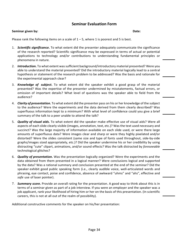### **Seminar Evaluation Form**

#### <span id="page-34-0"></span>**Seminar given by: Date:**

Please rank the following items on a scale of  $1 - 5$ , where 1 is poorest and 5 is best.

- 1. *Scientific significance***.** To what extent did the presenter adequately communicate the significance of the research reported? Scientific significance may be expressed in terms of actual or potential applications to technology *and/or* contributions to understanding fundamental principles or phenomena in nature.
- 2. *Introduction***.** To what extent was sufficient background/introductory material presented? Were you able to understand the material presented? Did the introductory material logically lead to a central hypothesis or statement of the research problem to be addressed? Was the basis and rationale for the experimental approach clear?
- 3. *Knowledge of subject***.** To what extent did the speaker exhibit a good grasp of the material presented? Was the expertise of the presenter undermined by misstatements, factual errors, or omission of important details? What level of questions was the speaker able to field from the audience?
- 4. *Clarity of presentation***.** To what extent did the presenter pass on his or her knowledge of the subject to the audience? Were the experiments and the data derived from them clearly described? Was superfluous information kept to a minimum? With what level of confidence could you give a brief summary of the talk to a peer unable to attend the talk?
- 5. *Quality of visual aids***.** To what extent did the speaker make effective use of visual aids? Were all aspects of each slide clearly visible (images, annotation, text, etc.)? Was the text used necessary and succinct? Was the large majority of information available on each slide used, or were there large amounts of superfluous data? Were images clear and sharp or were they highly pixelated and/or distorted? Were the slides consistent (same size and type of fonts used throughout, side-by-side graphs/images sized appropriately, etc.)? Did the speaker undermine his or her credibility by using distracting "cute" clipart, animations, and/or sound effects? Was the talk distracted by *foreseeable*  technological glitches?
- 6. *Quality of presentation***.** Was the presentation logically organized? Were the experiments and the data obtained from them presented in a logical manner? Were conclusions logical and supported by the data? Was a rational summary and conclusion presented at the end of the seminar? Did the speaker exhibit good public speaking form (i.e., clearly audible voice, well-articulated words and phrasing, eye contact, poise and confidence, absence of awkward "uhms" and "ahs", effective and *safe* use of laser pointer).
- 7. *Summary score***.** Provide an overall rating for the presentation. A good way to think about this is in terms of a seminar given as part of a job interview. If you were an employer and the speaker was a job applicant, rank your likelihood of hiring him or her on the basis of this presentation. (In scientific careers, this is not at all out of the realm of possibility).

Additional constructive comments for the speaker on his/her presentation: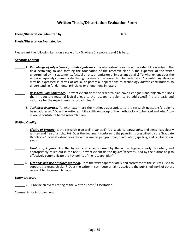### **Written Thesis/Dissertation Evaluation Form**

<span id="page-35-0"></span>**Thesis/Dissertation Submitted by: Date:**

**Thesis/Dissertation Evaluated by:**

Please rank the following items on a scale of  $1 - 5$ , where 1 is poorest and 5 is best.

#### *Scientific Content*

- \_\_\_\_\_\_ 1. *Knowledge of subject/background/significance***.** To what extent does the writer exhibit knowledge of the field pertaining to and forming the foundation of the research plan? Is the expertise of the writer undermined by misstatements, factual errors, or omission of important details? To what extent does the writer adequately communicate the significance of the research to be undertaken? Scientific significance may be expressed in terms of actual or potential applications to technology *and/or* contributions to understanding fundamental principles or phenomena in nature.
- \_\_\_\_\_\_ 2. *Research Plan Coherence***.** To what extent does the research plan have clear goals and objectives? Does the introductory material logically lead to the research problem to be addressed? Are the basis and rationale for the experimental approach clear?
- \_\_\_\_\_\_ 3. *Technical Expertise***.** To what extent are the methods appropriate to the research questions/problems being addressed? Does the writer exhibit a sufficient grasp of the methodology to be used and what/how it would contribute to the research plan?

#### *Writing Quality*

- \_\_\_\_\_\_ 4. *Clarity of Writing***.** Is the research plan well organized? Are sections, paragraphs, and sentences clearly written and free of ambiguity? Does the document conform to the page limits prescribed by the Graduate Handbook? To what extent does the writer use proper grammar, punctuation, spelling, and capitalization, etc.?
- \_\_\_\_\_\_ 5. *Quality of Figures***.** Are the figures and schemes used by the writer legible, clearly described, and appropriately called out in the text? To what extent do the figures/schemes used by the author help to effectively communicate the key points of the research plan?
- \_\_\_\_\_\_ 6. *Citations and use of source material***.** Does the writer appropriately and correctly cite the sources used to support the research plan? Does the writer misattribute or fail to attribute the published work of others relevant to the research plan?

#### *Summary score*

\_\_\_\_\_\_ 7. Provide an overall rating of the Written Thesis/Dissertation.

Comments for improvement: